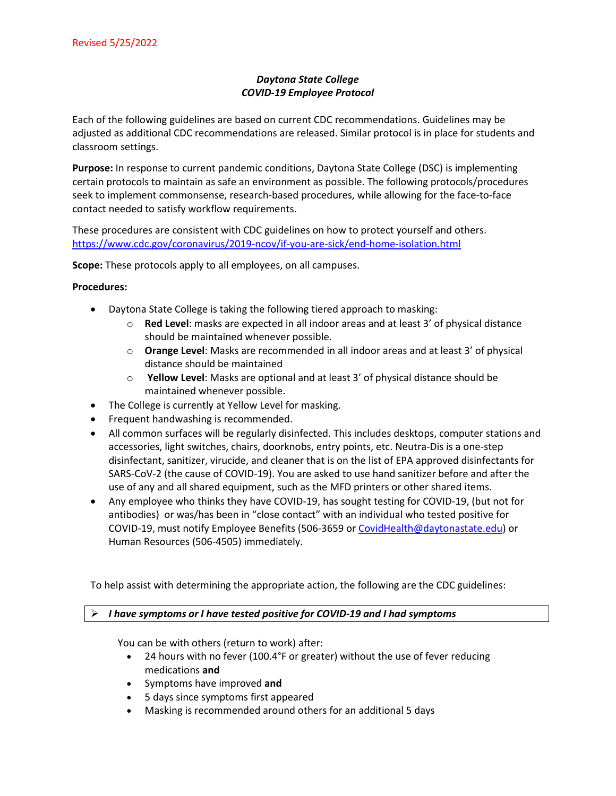# *Daytona State College COVID-19 Employee Protocol*

Each of the following guidelines are based on current CDC recommendations. Guidelines may be adjusted as additional CDC recommendations are released. Similar protocol is in place for students and classroom settings.

**Purpose:** In response to current pandemic conditions, Daytona State College (DSC) is implementing certain protocols to maintain as safe an environment as possible. The following protocols/procedures seek to implement commonsense, research-based procedures, while allowing for the face-to-face contact needed to satisfy workflow requirements.

These procedures are consistent with CDC guidelines on how to protect yourself and others. <https://www.cdc.gov/coronavirus/2019-ncov/if-you-are-sick/end-home-isolation.html>

**Scope:** These protocols apply to all employees, on all campuses.

### **Procedures:**

- Daytona State College is taking the following tiered approach to masking:
	- o **Red Level**: masks are expected in all indoor areas and at least 3' of physical distance should be maintained whenever possible.
	- o **Orange Level**: Masks are recommended in all indoor areas and at least 3' of physical distance should be maintained
	- o **Yellow Level**: Masks are optional and at least 3' of physical distance should be maintained whenever possible.
- The College is currently at Yellow Level for masking.
- Frequent handwashing is recommended.
- All common surfaces will be regularly disinfected. This includes desktops, computer stations and accessories, light switches, chairs, doorknobs, entry points, etc. Neutra-Dis is a one-step disinfectant, sanitizer, virucide, and cleaner that is on the list of EPA approved disinfectants for SARS-CoV-2 (the cause of COVID-19). You are asked to use hand sanitizer before and after the use of any and all shared equipment, such as the MFD printers or other shared items.
- Any employee who thinks they have COVID-19, has sought testing for COVID-19, (but not for antibodies) or was/has been in "close contact" with an individual who tested positive for COVID-19, must notify Employee Benefits (506-3659 or [CovidHealth@daytonastate.edu\)](mailto:CovidHealth@daytonastate.edu) or Human Resources (506-4505) immediately.

To help assist with determining the appropriate action, the following are the CDC guidelines:

## *I have symptoms or I have tested positive for COVID-19 and I had symptoms*

You can be with others (return to work) after:

- 24 hours with no fever (100.4°F or greater) without the use of fever reducing medications **and**
- Symptoms have improved **and**
- 5 days since symptoms first appeared
- Masking is recommended around others for an additional 5 days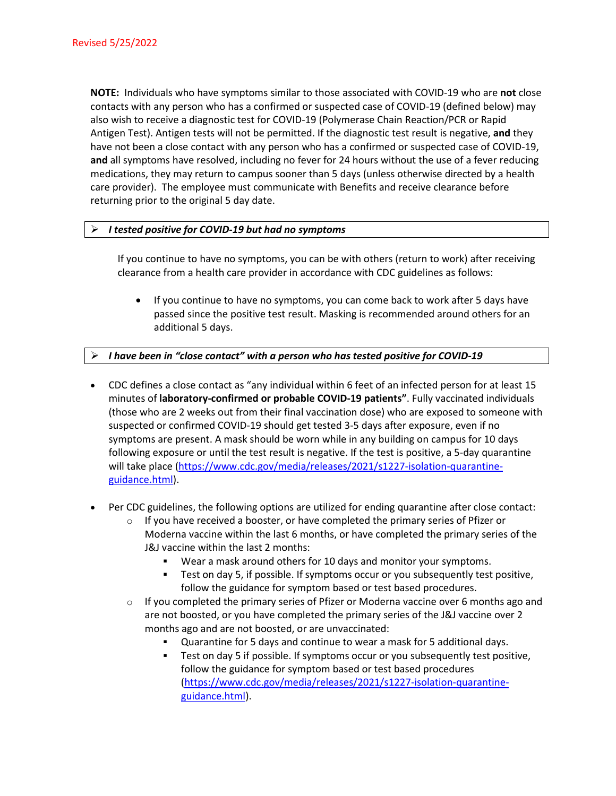**NOTE:** Individuals who have symptoms similar to those associated with COVID-19 who are **not** close contacts with any person who has a confirmed or suspected case of COVID-19 (defined below) may also wish to receive a diagnostic test for COVID-19 (Polymerase Chain Reaction/PCR or Rapid Antigen Test). Antigen tests will not be permitted. If the diagnostic test result is negative, **and** they have not been a close contact with any person who has a confirmed or suspected case of COVID-19, **and** all symptoms have resolved, including no fever for 24 hours without the use of a fever reducing medications, they may return to campus sooner than 5 days (unless otherwise directed by a health care provider). The employee must communicate with Benefits and receive clearance before returning prior to the original 5 day date.

## *I tested positive for COVID-19 but had no symptoms*

If you continue to have no symptoms, you can be with others (return to work) after receiving clearance from a health care provider in accordance with CDC guidelines as follows:

• If you continue to have no symptoms, you can come back to work after 5 days have passed since the positive test result. Masking is recommended around others for an additional 5 days.

## *I have been in "close contact" with a person who has tested positive for COVID-19*

- CDC defines a close contact as "any individual within 6 feet of an infected person for at least 15 minutes of **laboratory-confirmed or probable COVID-19 patients"**. Fully vaccinated individuals (those who are 2 weeks out from their final vaccination dose) who are exposed to someone with suspected or confirmed COVID-19 should get tested 3-5 days after exposure, even if no symptoms are present. A mask should be worn while in any building on campus for 10 days following exposure or until the test result is negative. If the test is positive, a 5-day quarantine will take place [\(https://www.cdc.gov/media/releases/2021/s1227-isolation-quarantine](https://www.cdc.gov/media/releases/2021/s1227-isolation-quarantine-guidance.html)[guidance.html\)](https://www.cdc.gov/media/releases/2021/s1227-isolation-quarantine-guidance.html).
- Per CDC guidelines, the following options are utilized for ending quarantine after close contact:
	- $\circ$  If you have received a booster, or have completed the primary series of Pfizer or Moderna vaccine within the last 6 months, or have completed the primary series of the J&J vaccine within the last 2 months:
		- Wear a mask around others for 10 days and monitor your symptoms.
		- Test on day 5, if possible. If symptoms occur or you subsequently test positive, follow the guidance for symptom based or test based procedures.
	- $\circ$  If you completed the primary series of Pfizer or Moderna vaccine over 6 months ago and are not boosted, or you have completed the primary series of the J&J vaccine over 2 months ago and are not boosted, or are unvaccinated:
		- Quarantine for 5 days and continue to wear a mask for 5 additional days.
		- Test on day 5 if possible. If symptoms occur or you subsequently test positive, follow the guidance for symptom based or test based procedures [\(https://www.cdc.gov/media/releases/2021/s1227-isolation-quarantine](https://www.cdc.gov/media/releases/2021/s1227-isolation-quarantine-guidance.html)[guidance.html\)](https://www.cdc.gov/media/releases/2021/s1227-isolation-quarantine-guidance.html).